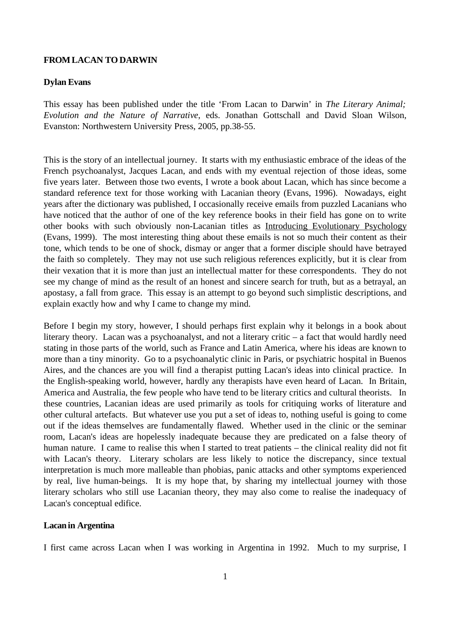#### **FROM LACAN TO DARWIN**

#### **Dylan Evans**

This essay has been published under the title 'From Lacan to Darwin' in *The Literary Animal; Evolution and the Nature of Narrative*, eds. Jonathan Gottschall and David Sloan Wilson, Evanston: Northwestern University Press, 2005, pp.38-55.

This is the story of an intellectual journey. It starts with my enthusiastic embrace of the ideas of the French psychoanalyst, Jacques Lacan, and ends with my eventual rejection of those ideas, some five years later. Between those two events, I wrote a book about Lacan, which has since become a standard reference text for those working with Lacanian theory (Evans, 1996). Nowadays, eight years after the dictionary was published, I occasionally receive emails from puzzled Lacanians who have noticed that the author of one of the key reference books in their field has gone on to write other books with such obviously non-Lacanian titles as Introducing Evolutionary Psychology (Evans, 1999). The most interesting thing about these emails is not so much their content as their tone, which tends to be one of shock, dismay or anger that a former disciple should have betrayed the faith so completely. They may not use such religious references explicitly, but it is clear from their vexation that it is more than just an intellectual matter for these correspondents. They do not see my change of mind as the result of an honest and sincere search for truth, but as a betrayal, an apostasy, a fall from grace. This essay is an attempt to go beyond such simplistic descriptions, and explain exactly how and why I came to change my mind.

Before I begin my story, however, I should perhaps first explain why it belongs in a book about literary theory. Lacan was a psychoanalyst, and not a literary critic – a fact that would hardly need stating in those parts of the world, such as France and Latin America, where his ideas are known to more than a tiny minority. Go to a psychoanalytic clinic in Paris, or psychiatric hospital in Buenos Aires, and the chances are you will find a therapist putting Lacan's ideas into clinical practice. In the English-speaking world, however, hardly any therapists have even heard of Lacan. In Britain, America and Australia, the few people who have tend to be literary critics and cultural theorists. In these countries, Lacanian ideas are used primarily as tools for critiquing works of literature and other cultural artefacts. But whatever use you put a set of ideas to, nothing useful is going to come out if the ideas themselves are fundamentally flawed. Whether used in the clinic or the seminar room, Lacan's ideas are hopelessly inadequate because they are predicated on a false theory of human nature. I came to realise this when I started to treat patients – the clinical reality did not fit with Lacan's theory. Literary scholars are less likely to notice the discrepancy, since textual interpretation is much more malleable than phobias, panic attacks and other symptoms experienced by real, live human-beings. It is my hope that, by sharing my intellectual journey with those literary scholars who still use Lacanian theory, they may also come to realise the inadequacy of Lacan's conceptual edifice.

# **Lacan in Argentina**

I first came across Lacan when I was working in Argentina in 1992. Much to my surprise, I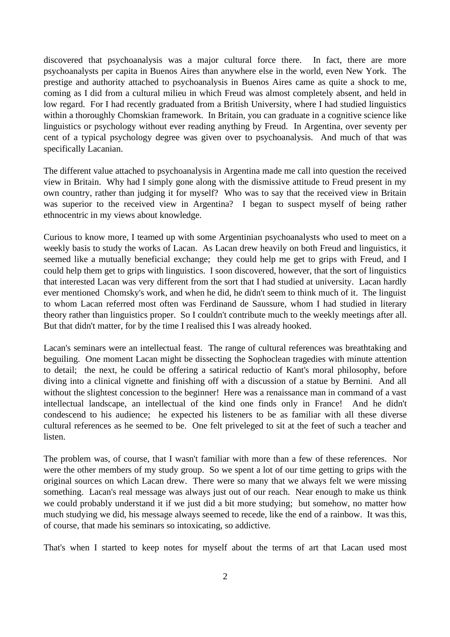discovered that psychoanalysis was a major cultural force there. In fact, there are more psychoanalysts per capita in Buenos Aires than anywhere else in the world, even New York. The prestige and authority attached to psychoanalysis in Buenos Aires came as quite a shock to me, coming as I did from a cultural milieu in which Freud was almost completely absent, and held in low regard. For I had recently graduated from a British University, where I had studied linguistics within a thoroughly Chomskian framework. In Britain, you can graduate in a cognitive science like linguistics or psychology without ever reading anything by Freud. In Argentina, over seventy per cent of a typical psychology degree was given over to psychoanalysis. And much of that was specifically Lacanian.

The different value attached to psychoanalysis in Argentina made me call into question the received view in Britain. Why had I simply gone along with the dismissive attitude to Freud present in my own country, rather than judging it for myself? Who was to say that the received view in Britain was superior to the received view in Argentina? I began to suspect myself of being rather ethnocentric in my views about knowledge.

Curious to know more, I teamed up with some Argentinian psychoanalysts who used to meet on a weekly basis to study the works of Lacan. As Lacan drew heavily on both Freud and linguistics, it seemed like a mutually beneficial exchange; they could help me get to grips with Freud, and I could help them get to grips with linguistics. I soon discovered, however, that the sort of linguistics that interested Lacan was very different from the sort that I had studied at university. Lacan hardly ever mentioned Chomsky's work, and when he did, he didn't seem to think much of it. The linguist to whom Lacan referred most often was Ferdinand de Saussure, whom I had studied in literary theory rather than linguistics proper. So I couldn't contribute much to the weekly meetings after all. But that didn't matter, for by the time I realised this I was already hooked.

Lacan's seminars were an intellectual feast. The range of cultural references was breathtaking and beguiling. One moment Lacan might be dissecting the Sophoclean tragedies with minute attention to detail; the next, he could be offering a satirical reductio of Kant's moral philosophy, before diving into a clinical vignette and finishing off with a discussion of a statue by Bernini. And all without the slightest concession to the beginner! Here was a renaissance man in command of a vast intellectual landscape, an intellectual of the kind one finds only in France! And he didn't condescend to his audience; he expected his listeners to be as familiar with all these diverse cultural references as he seemed to be. One felt priveleged to sit at the feet of such a teacher and listen.

The problem was, of course, that I wasn't familiar with more than a few of these references. Nor were the other members of my study group. So we spent a lot of our time getting to grips with the original sources on which Lacan drew. There were so many that we always felt we were missing something. Lacan's real message was always just out of our reach. Near enough to make us think we could probably understand it if we just did a bit more studying; but somehow, no matter how much studying we did, his message always seemed to recede, like the end of a rainbow. It was this, of course, that made his seminars so intoxicating, so addictive.

That's when I started to keep notes for myself about the terms of art that Lacan used most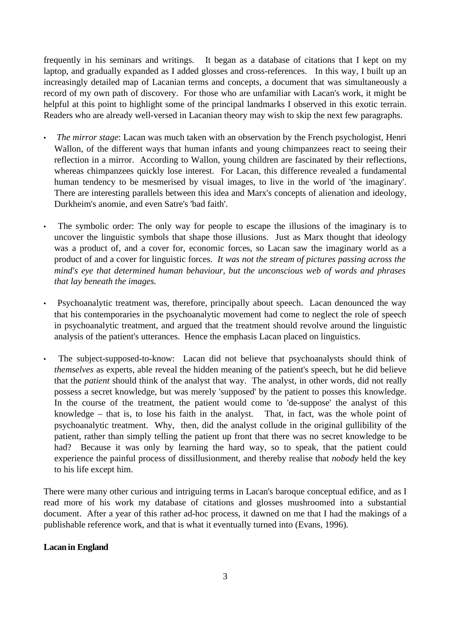frequently in his seminars and writings. It began as a database of citations that I kept on my laptop, and gradually expanded as I added glosses and cross-references. In this way, I built up an increasingly detailed map of Lacanian terms and concepts, a document that was simultaneously a record of my own path of discovery. For those who are unfamiliar with Lacan's work, it might be helpful at this point to highlight some of the principal landmarks I observed in this exotic terrain. Readers who are already well-versed in Lacanian theory may wish to skip the next few paragraphs.

- *The mirror stage*: Lacan was much taken with an observation by the French psychologist, Henri Wallon, of the different ways that human infants and young chimpanzees react to seeing their reflection in a mirror. According to Wallon, young children are fascinated by their reflections, whereas chimpanzees quickly lose interest. For Lacan, this difference revealed a fundamental human tendency to be mesmerised by visual images, to live in the world of 'the imaginary'. There are interesting parallels between this idea and Marx's concepts of alienation and ideology, Durkheim's anomie, and even Satre's 'bad faith'.
- The symbolic order: The only way for people to escape the illusions of the imaginary is to uncover the linguistic symbols that shape those illusions. Just as Marx thought that ideology was a product of, and a cover for, economic forces, so Lacan saw the imaginary world as a product of and a cover for linguistic forces. *It was not the stream of pictures passing across the mind's eye that determined human behaviour, but the unconscious web of words and phrases that lay beneath the images.*
- Psychoanalytic treatment was, therefore, principally about speech. Lacan denounced the way that his contemporaries in the psychoanalytic movement had come to neglect the role of speech in psychoanalytic treatment, and argued that the treatment should revolve around the linguistic analysis of the patient's utterances. Hence the emphasis Lacan placed on linguistics.
- The subject-supposed-to-know: Lacan did not believe that psychoanalysts should think of *themselves* as experts, able reveal the hidden meaning of the patient's speech, but he did believe that the *patient* should think of the analyst that way. The analyst, in other words, did not really possess a secret knowledge, but was merely 'supposed' by the patient to posses this knowledge. In the course of the treatment, the patient would come to 'de-suppose' the analyst of this knowledge – that is, to lose his faith in the analyst. That, in fact, was the whole point of psychoanalytic treatment. Why, then, did the analyst collude in the original gullibility of the patient, rather than simply telling the patient up front that there was no secret knowledge to be had? Because it was only by learning the hard way, so to speak, that the patient could experience the painful process of dissillusionment, and thereby realise that *nobody* held the key to his life except him.

There were many other curious and intriguing terms in Lacan's baroque conceptual edifice, and as I read more of his work my database of citations and glosses mushroomed into a substantial document. After a year of this rather ad-hoc process, it dawned on me that I had the makings of a publishable reference work, and that is what it eventually turned into (Evans, 1996).

### **Lacan in England**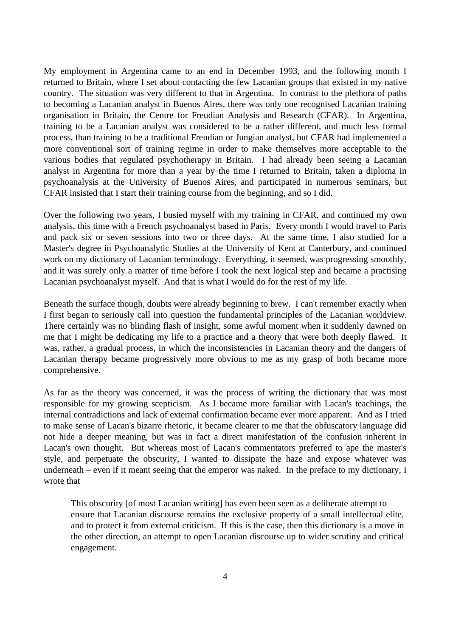My employment in Argentina came to an end in December 1993, and the following month I returned to Britain, where I set about contacting the few Lacanian groups that existed in my native country. The situation was very different to that in Argentina. In contrast to the plethora of paths to becoming a Lacanian analyst in Buenos Aires, there was only one recognised Lacanian training organisation in Britain, the Centre for Freudian Analysis and Research (CFAR). In Argentina, training to be a Lacanian analyst was considered to be a rather different, and much less formal process, than training to be a traditional Freudian or Jungian analyst, but CFAR had implemented a more conventional sort of training regime in order to make themselves more acceptable to the various bodies that regulated psychotherapy in Britain. I had already been seeing a Lacanian analyst in Argentina for more than a year by the time I returned to Britain, taken a diploma in psychoanalysis at the University of Buenos Aires, and participated in numerous seminars, but CFAR insisted that I start their training course from the beginning, and so I did.

Over the following two years, I busied myself with my training in CFAR, and continued my own analysis, this time with a French psychoanalyst based in Paris. Every month I would travel to Paris and pack six or seven sessions into two or three days. At the same time, I also studied for a Master's degree in Psychoanalytic Studies at the University of Kent at Canterbury, and continued work on my dictionary of Lacanian terminology. Everything, it seemed, was progressing smoothly, and it was surely only a matter of time before I took the next logical step and became a practising Lacanian psychoanalyst myself. And that is what I would do for the rest of my life.

Beneath the surface though, doubts were already beginning to brew. I can't remember exactly when I first began to seriously call into question the fundamental principles of the Lacanian worldview. There certainly was no blinding flash of insight, some awful moment when it suddenly dawned on me that I might be dedicating my life to a practice and a theory that were both deeply flawed. It was, rather, a gradual process, in which the inconsistencies in Lacanian theory and the dangers of Lacanian therapy became progressively more obvious to me as my grasp of both became more comprehensive.

As far as the theory was concerned, it was the process of writing the dictionary that was most responsible for my growing scepticism. As I became more familiar with Lacan's teachings, the internal contradictions and lack of external confirmation became ever more apparent. And as I tried to make sense of Lacan's bizarre rhetoric, it became clearer to me that the obfuscatory language did not hide a deeper meaning, but was in fact a direct manifestation of the confusion inherent in Lacan's own thought. But whereas most of Lacan's commentators preferred to ape the master's style, and perpetuate the obscurity, I wanted to dissipate the haze and expose whatever was underneath – even if it meant seeing that the emperor was naked. In the preface to my dictionary, I wrote that

This obscurity [of most Lacanian writing] has even been seen as a deliberate attempt to ensure that Lacanian discourse remains the exclusive property of a small intellectual elite, and to protect it from external criticism. If this is the case, then this dictionary is a move in the other direction, an attempt to open Lacanian discourse up to wider scrutiny and critical engagement.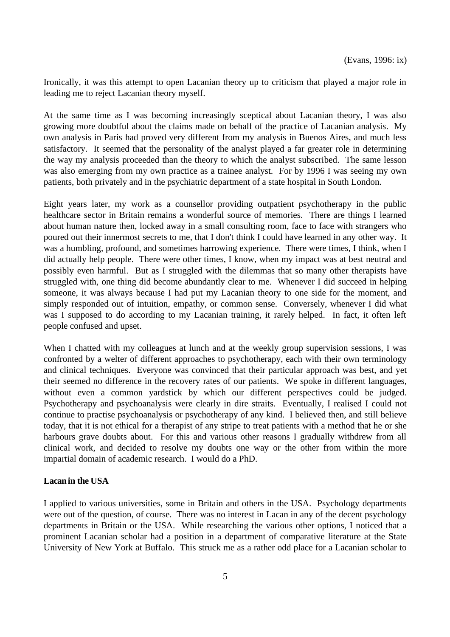Ironically, it was this attempt to open Lacanian theory up to criticism that played a major role in leading me to reject Lacanian theory myself.

At the same time as I was becoming increasingly sceptical about Lacanian theory, I was also growing more doubtful about the claims made on behalf of the practice of Lacanian analysis. My own analysis in Paris had proved very different from my analysis in Buenos Aires, and much less satisfactory. It seemed that the personality of the analyst played a far greater role in determining the way my analysis proceeded than the theory to which the analyst subscribed. The same lesson was also emerging from my own practice as a trainee analyst. For by 1996 I was seeing my own patients, both privately and in the psychiatric department of a state hospital in South London.

Eight years later, my work as a counsellor providing outpatient psychotherapy in the public healthcare sector in Britain remains a wonderful source of memories. There are things I learned about human nature then, locked away in a small consulting room, face to face with strangers who poured out their innermost secrets to me, that I don't think I could have learned in any other way. It was a humbling, profound, and sometimes harrowing experience. There were times, I think, when I did actually help people. There were other times, I know, when my impact was at best neutral and possibly even harmful. But as I struggled with the dilemmas that so many other therapists have struggled with, one thing did become abundantly clear to me. Whenever I did succeed in helping someone, it was always because I had put my Lacanian theory to one side for the moment, and simply responded out of intuition, empathy, or common sense. Conversely, whenever I did what was I supposed to do according to my Lacanian training, it rarely helped. In fact, it often left people confused and upset.

When I chatted with my colleagues at lunch and at the weekly group supervision sessions, I was confronted by a welter of different approaches to psychotherapy, each with their own terminology and clinical techniques. Everyone was convinced that their particular approach was best, and yet their seemed no difference in the recovery rates of our patients. We spoke in different languages, without even a common yardstick by which our different perspectives could be judged. Psychotherapy and psychoanalysis were clearly in dire straits. Eventually, I realised I could not continue to practise psychoanalysis or psychotherapy of any kind. I believed then, and still believe today, that it is not ethical for a therapist of any stripe to treat patients with a method that he or she harbours grave doubts about. For this and various other reasons I gradually withdrew from all clinical work, and decided to resolve my doubts one way or the other from within the more impartial domain of academic research. I would do a PhD.

### **Lacan in the USA**

I applied to various universities, some in Britain and others in the USA. Psychology departments were out of the question, of course. There was no interest in Lacan in any of the decent psychology departments in Britain or the USA. While researching the various other options, I noticed that a prominent Lacanian scholar had a position in a department of comparative literature at the State University of New York at Buffalo. This struck me as a rather odd place for a Lacanian scholar to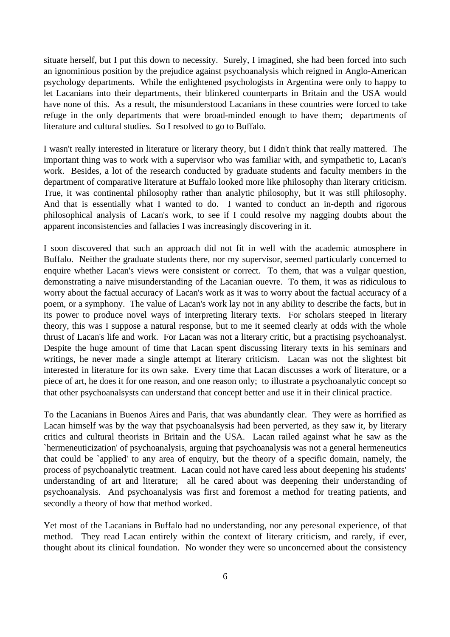situate herself, but I put this down to necessity. Surely, I imagined, she had been forced into such an ignominious position by the prejudice against psychoanalysis which reigned in Anglo-American psychology departments. While the enlightened psychologists in Argentina were only to happy to let Lacanians into their departments, their blinkered counterparts in Britain and the USA would have none of this. As a result, the misunderstood Lacanians in these countries were forced to take refuge in the only departments that were broad-minded enough to have them; departments of literature and cultural studies. So I resolved to go to Buffalo.

I wasn't really interested in literature or literary theory, but I didn't think that really mattered. The important thing was to work with a supervisor who was familiar with, and sympathetic to, Lacan's work. Besides, a lot of the research conducted by graduate students and faculty members in the department of comparative literature at Buffalo looked more like philosophy than literary criticism. True, it was continental philosophy rather than analytic philosophy, but it was still philosophy. And that is essentially what I wanted to do. I wanted to conduct an in-depth and rigorous philosophical analysis of Lacan's work, to see if I could resolve my nagging doubts about the apparent inconsistencies and fallacies I was increasingly discovering in it.

I soon discovered that such an approach did not fit in well with the academic atmosphere in Buffalo. Neither the graduate students there, nor my supervisor, seemed particularly concerned to enquire whether Lacan's views were consistent or correct. To them, that was a vulgar question, demonstrating a naive misunderstanding of the Lacanian ouevre. To them, it was as ridiculous to worry about the factual accuracy of Lacan's work as it was to worry about the factual accuracy of a poem, or a symphony. The value of Lacan's work lay not in any ability to describe the facts, but in its power to produce novel ways of interpreting literary texts. For scholars steeped in literary theory, this was I suppose a natural response, but to me it seemed clearly at odds with the whole thrust of Lacan's life and work. For Lacan was not a literary critic, but a practising psychoanalyst. Despite the huge amount of time that Lacan spent discussing literary texts in his seminars and writings, he never made a single attempt at literary criticism. Lacan was not the slightest bit interested in literature for its own sake. Every time that Lacan discusses a work of literature, or a piece of art, he does it for one reason, and one reason only; to illustrate a psychoanalytic concept so that other psychoanalsysts can understand that concept better and use it in their clinical practice.

To the Lacanians in Buenos Aires and Paris, that was abundantly clear. They were as horrified as Lacan himself was by the way that psychoanalsysis had been perverted, as they saw it, by literary critics and cultural theorists in Britain and the USA. Lacan railed against what he saw as the `hermeneuticization' of psychoanalysis, arguing that psychoanalysis was not a general hermeneutics that could be `applied' to any area of enquiry, but the theory of a specific domain, namely, the process of psychoanalytic treatment. Lacan could not have cared less about deepening his students' understanding of art and literature; all he cared about was deepening their understanding of psychoanalysis. And psychoanalysis was first and foremost a method for treating patients, and secondly a theory of how that method worked.

Yet most of the Lacanians in Buffalo had no understanding, nor any peresonal experience, of that method. They read Lacan entirely within the context of literary criticism, and rarely, if ever, thought about its clinical foundation. No wonder they were so unconcerned about the consistency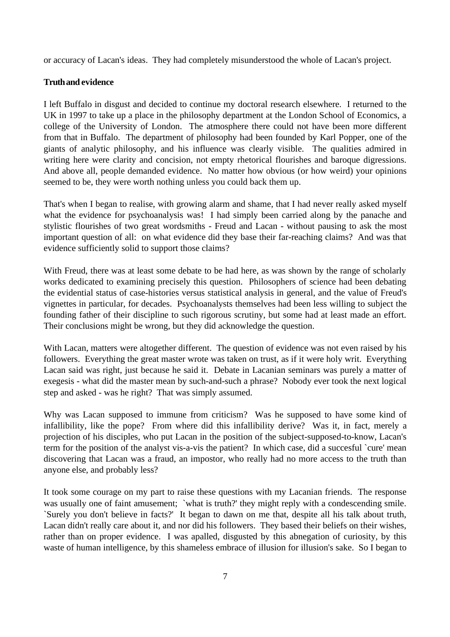or accuracy of Lacan's ideas. They had completely misunderstood the whole of Lacan's project.

# **Truth and evidence**

I left Buffalo in disgust and decided to continue my doctoral research elsewhere. I returned to the UK in 1997 to take up a place in the philosophy department at the London School of Economics, a college of the University of London. The atmosphere there could not have been more different from that in Buffalo. The department of philosophy had been founded by Karl Popper, one of the giants of analytic philosophy, and his influence was clearly visible. The qualities admired in writing here were clarity and concision, not empty rhetorical flourishes and baroque digressions. And above all, people demanded evidence. No matter how obvious (or how weird) your opinions seemed to be, they were worth nothing unless you could back them up.

That's when I began to realise, with growing alarm and shame, that I had never really asked myself what the evidence for psychoanalysis was! I had simply been carried along by the panache and stylistic flourishes of two great wordsmiths - Freud and Lacan - without pausing to ask the most important question of all: on what evidence did they base their far-reaching claims? And was that evidence sufficiently solid to support those claims?

With Freud, there was at least some debate to be had here, as was shown by the range of scholarly works dedicated to examining precisely this question. Philosophers of science had been debating the evidential status of case-histories versus statistical analysis in general, and the value of Freud's vignettes in particular, for decades. Psychoanalysts themselves had been less willing to subject the founding father of their discipline to such rigorous scrutiny, but some had at least made an effort. Their conclusions might be wrong, but they did acknowledge the question.

With Lacan, matters were altogether different. The question of evidence was not even raised by his followers. Everything the great master wrote was taken on trust, as if it were holy writ. Everything Lacan said was right, just because he said it. Debate in Lacanian seminars was purely a matter of exegesis - what did the master mean by such-and-such a phrase? Nobody ever took the next logical step and asked - was he right? That was simply assumed.

Why was Lacan supposed to immune from criticism? Was he supposed to have some kind of infallibility, like the pope? From where did this infallibility derive? Was it, in fact, merely a projection of his disciples, who put Lacan in the position of the subject-supposed-to-know, Lacan's term for the position of the analyst vis-a-vis the patient? In which case, did a succesful `cure' mean discovering that Lacan was a fraud, an impostor, who really had no more access to the truth than anyone else, and probably less?

It took some courage on my part to raise these questions with my Lacanian friends. The response was usually one of faint amusement; `what is truth?' they might reply with a condescending smile. `Surely you don't believe in facts?' It began to dawn on me that, despite all his talk about truth, Lacan didn't really care about it, and nor did his followers. They based their beliefs on their wishes, rather than on proper evidence. I was apalled, disgusted by this abnegation of curiosity, by this waste of human intelligence, by this shameless embrace of illusion for illusion's sake. So I began to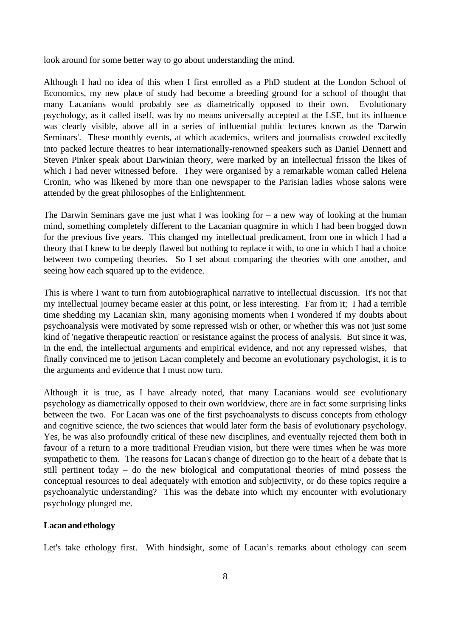look around for some better way to go about understanding the mind.

Although I had no idea of this when I first enrolled as a PhD student at the London School of Economics, my new place of study had become a breeding ground for a school of thought that many Lacanians would probably see as diametrically opposed to their own. Evolutionary psychology, as it called itself, was by no means universally accepted at the LSE, but its influence was clearly visible, above all in a series of influential public lectures known as the 'Darwin Seminars'. These monthly events, at which academics, writers and journalists crowded excitedly into packed lecture theatres to hear internationally-renowned speakers such as Daniel Dennett and Steven Pinker speak about Darwinian theory, were marked by an intellectual frisson the likes of which I had never witnessed before. They were organised by a remarkable woman called Helena Cronin, who was likened by more than one newspaper to the Parisian ladies whose salons were attended by the great philosophes of the Enlightenment.

The Darwin Seminars gave me just what I was looking for – a new way of looking at the human mind, something completely different to the Lacanian quagmire in which I had been bogged down for the previous five years. This changed my intellectual predicament, from one in which I had a theory that I knew to be deeply flawed but nothing to replace it with, to one in which I had a choice between two competing theories. So I set about comparing the theories with one another, and seeing how each squared up to the evidence.

This is where I want to turn from autobiographical narrative to intellectual discussion. It's not that my intellectual journey became easier at this point, or less interesting. Far from it; I had a terrible time shedding my Lacanian skin, many agonising moments when I wondered if my doubts about psychoanalysis were motivated by some repressed wish or other, or whether this was not just some kind of 'negative therapeutic reaction' or resistance against the process of analysis. But since it was, in the end, the intellectual arguments and empirical evidence, and not any repressed wishes, that finally convinced me to jetison Lacan completely and become an evolutionary psychologist, it is to the arguments and evidence that I must now turn.

Although it is true, as I have already noted, that many Lacanians would see evolutionary psychology as diametrically opposed to their own worldview, there are in fact some surprising links between the two. For Lacan was one of the first psychoanalysts to discuss concepts from ethology and cognitive science, the two sciences that would later form the basis of evolutionary psychology. Yes, he was also profoundly critical of these new disciplines, and eventually rejected them both in favour of a return to a more traditional Freudian vision, but there were times when he was more sympathetic to them. The reasons for Lacan's change of direction go to the heart of a debate that is still pertinent today – do the new biological and computational theories of mind possess the conceptual resources to deal adequately with emotion and subjectivity, or do these topics require a psychoanalytic understanding? This was the debate into which my encounter with evolutionary psychology plunged me.

# **Lacan and ethology**

Let's take ethology first. With hindsight, some of Lacan's remarks about ethology can seem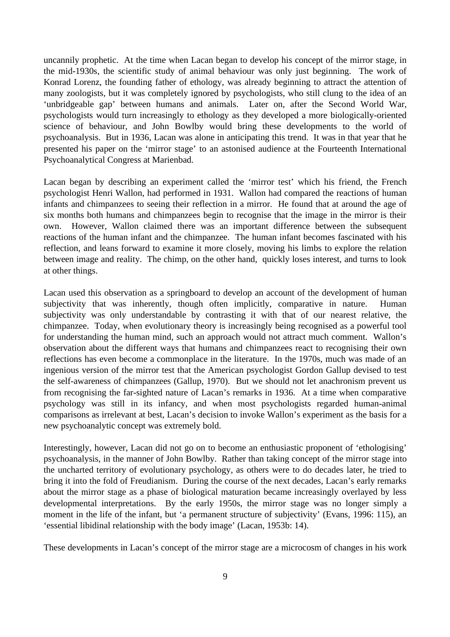uncannily prophetic. At the time when Lacan began to develop his concept of the mirror stage, in the mid-1930s, the scientific study of animal behaviour was only just beginning. The work of Konrad Lorenz, the founding father of ethology, was already beginning to attract the attention of many zoologists, but it was completely ignored by psychologists, who still clung to the idea of an 'unbridgeable gap' between humans and animals. Later on, after the Second World War, psychologists would turn increasingly to ethology as they developed a more biologically-oriented science of behaviour, and John Bowlby would bring these developments to the world of psychoanalysis. But in 1936, Lacan was alone in anticipating this trend. It was in that year that he presented his paper on the 'mirror stage' to an astonised audience at the Fourteenth International Psychoanalytical Congress at Marienbad.

Lacan began by describing an experiment called the 'mirror test' which his friend, the French psychologist Henri Wallon, had performed in 1931. Wallon had compared the reactions of human infants and chimpanzees to seeing their reflection in a mirror. He found that at around the age of six months both humans and chimpanzees begin to recognise that the image in the mirror is their own. However, Wallon claimed there was an important difference between the subsequent reactions of the human infant and the chimpanzee. The human infant becomes fascinated with his reflection, and leans forward to examine it more closely, moving his limbs to explore the relation between image and reality. The chimp, on the other hand, quickly loses interest, and turns to look at other things.

Lacan used this observation as a springboard to develop an account of the development of human subjectivity that was inherently, though often implicitly, comparative in nature. Human subjectivity was only understandable by contrasting it with that of our nearest relative, the chimpanzee. Today, when evolutionary theory is increasingly being recognised as a powerful tool for understanding the human mind, such an approach would not attract much comment. Wallon's observation about the different ways that humans and chimpanzees react to recognising their own reflections has even become a commonplace in the literature. In the 1970s, much was made of an ingenious version of the mirror test that the American psychologist Gordon Gallup devised to test the self-awareness of chimpanzees (Gallup, 1970). But we should not let anachronism prevent us from recognising the far-sighted nature of Lacan's remarks in 1936. At a time when comparative psychology was still in its infancy, and when most psychologists regarded human-animal comparisons as irrelevant at best, Lacan's decision to invoke Wallon's experiment as the basis for a new psychoanalytic concept was extremely bold.

Interestingly, however, Lacan did not go on to become an enthusiastic proponent of 'ethologising' psychoanalysis, in the manner of John Bowlby. Rather than taking concept of the mirror stage into the uncharted territory of evolutionary psychology, as others were to do decades later, he tried to bring it into the fold of Freudianism. During the course of the next decades, Lacan's early remarks about the mirror stage as a phase of biological maturation became increasingly overlayed by less developmental interpretations. By the early 1950s, the mirror stage was no longer simply a moment in the life of the infant, but 'a permanent structure of subjectivity' (Evans, 1996: 115), an 'essential libidinal relationship with the body image' (Lacan, 1953b: 14).

These developments in Lacan's concept of the mirror stage are a microcosm of changes in his work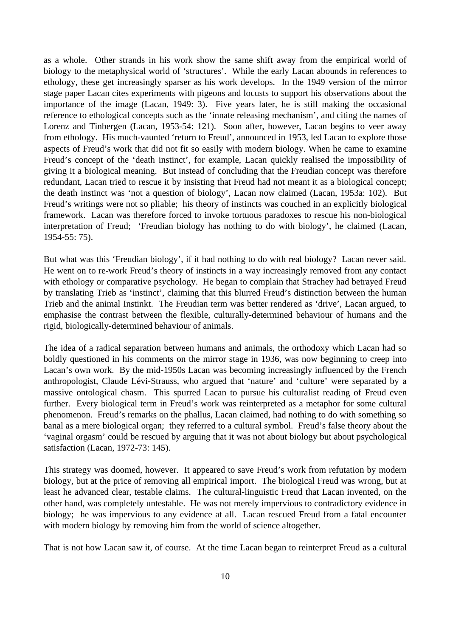as a whole. Other strands in his work show the same shift away from the empirical world of biology to the metaphysical world of 'structures'. While the early Lacan abounds in references to ethology, these get increasingly sparser as his work develops. In the 1949 version of the mirror stage paper Lacan cites experiments with pigeons and locusts to support his observations about the importance of the image (Lacan, 1949: 3). Five years later, he is still making the occasional reference to ethological concepts such as the 'innate releasing mechanism', and citing the names of Lorenz and Tinbergen (Lacan, 1953-54: 121). Soon after, however, Lacan begins to veer away from ethology. His much-vaunted 'return to Freud', announced in 1953, led Lacan to explore those aspects of Freud's work that did not fit so easily with modern biology. When he came to examine Freud's concept of the 'death instinct', for example, Lacan quickly realised the impossibility of giving it a biological meaning. But instead of concluding that the Freudian concept was therefore redundant, Lacan tried to rescue it by insisting that Freud had not meant it as a biological concept; the death instinct was 'not a question of biology', Lacan now claimed (Lacan, 1953a: 102). But Freud's writings were not so pliable; his theory of instincts was couched in an explicitly biological framework. Lacan was therefore forced to invoke tortuous paradoxes to rescue his non-biological interpretation of Freud; 'Freudian biology has nothing to do with biology', he claimed (Lacan, 1954-55: 75).

But what was this 'Freudian biology', if it had nothing to do with real biology? Lacan never said. He went on to re-work Freud's theory of instincts in a way increasingly removed from any contact with ethology or comparative psychology. He began to complain that Strachey had betrayed Freud by translating Trieb as 'instinct', claiming that this blurred Freud's distinction between the human Trieb and the animal Instinkt. The Freudian term was better rendered as 'drive', Lacan argued, to emphasise the contrast between the flexible, culturally-determined behaviour of humans and the rigid, biologically-determined behaviour of animals.

The idea of a radical separation between humans and animals, the orthodoxy which Lacan had so boldly questioned in his comments on the mirror stage in 1936, was now beginning to creep into Lacan's own work. By the mid-1950s Lacan was becoming increasingly influenced by the French anthropologist, Claude Lévi-Strauss, who argued that 'nature' and 'culture' were separated by a massive ontological chasm. This spurred Lacan to pursue his culturalist reading of Freud even further. Every biological term in Freud's work was reinterpreted as a metaphor for some cultural phenomenon. Freud's remarks on the phallus, Lacan claimed, had nothing to do with something so banal as a mere biological organ; they referred to a cultural symbol. Freud's false theory about the 'vaginal orgasm' could be rescued by arguing that it was not about biology but about psychological satisfaction (Lacan, 1972-73: 145).

This strategy was doomed, however. It appeared to save Freud's work from refutation by modern biology, but at the price of removing all empirical import. The biological Freud was wrong, but at least he advanced clear, testable claims. The cultural-linguistic Freud that Lacan invented, on the other hand, was completely untestable. He was not merely impervious to contradictory evidence in biology; he was impervious to any evidence at all. Lacan rescued Freud from a fatal encounter with modern biology by removing him from the world of science altogether.

That is not how Lacan saw it, of course. At the time Lacan began to reinterpret Freud as a cultural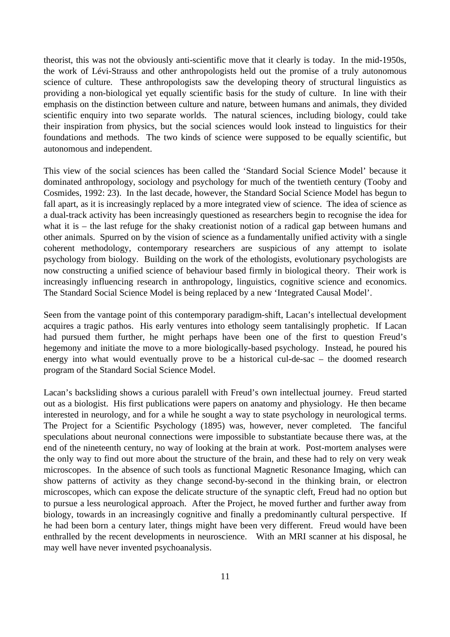theorist, this was not the obviously anti-scientific move that it clearly is today. In the mid-1950s, the work of Lévi-Strauss and other anthropologists held out the promise of a truly autonomous science of culture. These anthropologists saw the developing theory of structural linguistics as providing a non-biological yet equally scientific basis for the study of culture. In line with their emphasis on the distinction between culture and nature, between humans and animals, they divided scientific enquiry into two separate worlds. The natural sciences, including biology, could take their inspiration from physics, but the social sciences would look instead to linguistics for their foundations and methods. The two kinds of science were supposed to be equally scientific, but autonomous and independent.

This view of the social sciences has been called the 'Standard Social Science Model' because it dominated anthropology, sociology and psychology for much of the twentieth century (Tooby and Cosmides, 1992: 23). In the last decade, however, the Standard Social Science Model has begun to fall apart, as it is increasingly replaced by a more integrated view of science. The idea of science as a dual-track activity has been increasingly questioned as researchers begin to recognise the idea for what it is – the last refuge for the shaky creationist notion of a radical gap between humans and other animals. Spurred on by the vision of science as a fundamentally unified activity with a single coherent methodology, contemporary researchers are suspicious of any attempt to isolate psychology from biology. Building on the work of the ethologists, evolutionary psychologists are now constructing a unified science of behaviour based firmly in biological theory. Their work is increasingly influencing research in anthropology, linguistics, cognitive science and economics. The Standard Social Science Model is being replaced by a new 'Integrated Causal Model'.

Seen from the vantage point of this contemporary paradigm-shift, Lacan's intellectual development acquires a tragic pathos. His early ventures into ethology seem tantalisingly prophetic. If Lacan had pursued them further, he might perhaps have been one of the first to question Freud's hegemony and initiate the move to a more biologically-based psychology. Instead, he poured his energy into what would eventually prove to be a historical cul-de-sac – the doomed research program of the Standard Social Science Model.

Lacan's backsliding shows a curious paralell with Freud's own intellectual journey. Freud started out as a biologist. His first publications were papers on anatomy and physiology. He then became interested in neurology, and for a while he sought a way to state psychology in neurological terms. The Project for a Scientific Psychology (1895) was, however, never completed. The fanciful speculations about neuronal connections were impossible to substantiate because there was, at the end of the nineteenth century, no way of looking at the brain at work. Post-mortem analyses were the only way to find out more about the structure of the brain, and these had to rely on very weak microscopes. In the absence of such tools as functional Magnetic Resonance Imaging, which can show patterns of activity as they change second-by-second in the thinking brain, or electron microscopes, which can expose the delicate structure of the synaptic cleft, Freud had no option but to pursue a less neurological approach. After the Project, he moved further and further away from biology, towards in an increasingly cognitive and finally a predominantly cultural perspective. If he had been born a century later, things might have been very different. Freud would have been enthralled by the recent developments in neuroscience. With an MRI scanner at his disposal, he may well have never invented psychoanalysis.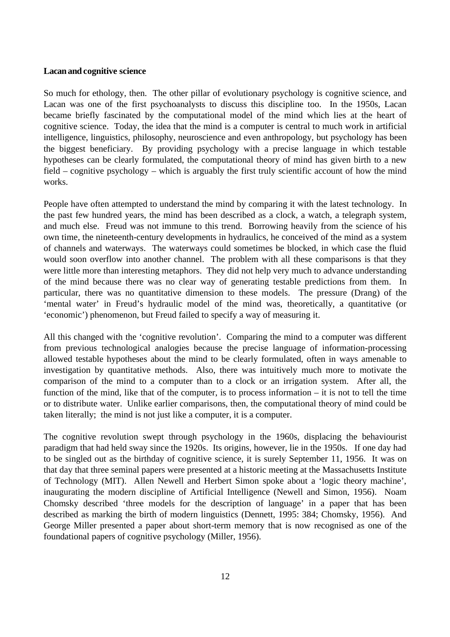### **Lacan and cognitive science**

So much for ethology, then. The other pillar of evolutionary psychology is cognitive science, and Lacan was one of the first psychoanalysts to discuss this discipline too. In the 1950s, Lacan became briefly fascinated by the computational model of the mind which lies at the heart of cognitive science. Today, the idea that the mind is a computer is central to much work in artificial intelligence, linguistics, philosophy, neuroscience and even anthropology, but psychology has been the biggest beneficiary. By providing psychology with a precise language in which testable hypotheses can be clearly formulated, the computational theory of mind has given birth to a new field – cognitive psychology – which is arguably the first truly scientific account of how the mind works.

People have often attempted to understand the mind by comparing it with the latest technology. In the past few hundred years, the mind has been described as a clock, a watch, a telegraph system, and much else. Freud was not immune to this trend. Borrowing heavily from the science of his own time, the nineteenth-century developments in hydraulics, he conceived of the mind as a system of channels and waterways. The waterways could sometimes be blocked, in which case the fluid would soon overflow into another channel. The problem with all these comparisons is that they were little more than interesting metaphors. They did not help very much to advance understanding of the mind because there was no clear way of generating testable predictions from them. In particular, there was no quantitative dimension to these models. The pressure (Drang) of the 'mental water' in Freud's hydraulic model of the mind was, theoretically, a quantitative (or 'economic') phenomenon, but Freud failed to specify a way of measuring it.

All this changed with the 'cognitive revolution'. Comparing the mind to a computer was different from previous technological analogies because the precise language of information-processing allowed testable hypotheses about the mind to be clearly formulated, often in ways amenable to investigation by quantitative methods. Also, there was intuitively much more to motivate the comparison of the mind to a computer than to a clock or an irrigation system. After all, the function of the mind, like that of the computer, is to process information – it is not to tell the time or to distribute water. Unlike earlier comparisons, then, the computational theory of mind could be taken literally; the mind is not just like a computer, it is a computer.

The cognitive revolution swept through psychology in the 1960s, displacing the behaviourist paradigm that had held sway since the 1920s. Its origins, however, lie in the 1950s. If one day had to be singled out as the birthday of cognitive science, it is surely September 11, 1956. It was on that day that three seminal papers were presented at a historic meeting at the Massachusetts Institute of Technology (MIT). Allen Newell and Herbert Simon spoke about a 'logic theory machine', inaugurating the modern discipline of Artificial Intelligence (Newell and Simon, 1956). Noam Chomsky described 'three models for the description of language' in a paper that has been described as marking the birth of modern linguistics (Dennett, 1995: 384; Chomsky, 1956). And George Miller presented a paper about short-term memory that is now recognised as one of the foundational papers of cognitive psychology (Miller, 1956).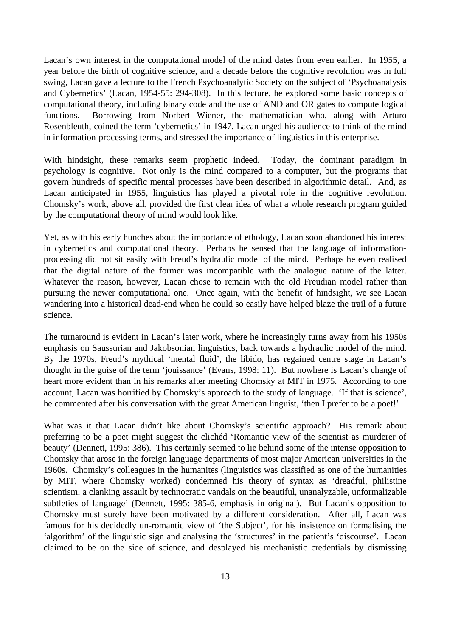Lacan's own interest in the computational model of the mind dates from even earlier. In 1955, a year before the birth of cognitive science, and a decade before the cognitive revolution was in full swing, Lacan gave a lecture to the French Psychoanalytic Society on the subject of 'Psychoanalysis and Cybernetics' (Lacan, 1954-55: 294-308). In this lecture, he explored some basic concepts of computational theory, including binary code and the use of AND and OR gates to compute logical functions. Borrowing from Norbert Wiener, the mathematician who, along with Arturo Rosenbleuth, coined the term 'cybernetics' in 1947, Lacan urged his audience to think of the mind in information-processing terms, and stressed the importance of linguistics in this enterprise.

With hindsight, these remarks seem prophetic indeed. Today, the dominant paradigm in psychology is cognitive. Not only is the mind compared to a computer, but the programs that govern hundreds of specific mental processes have been described in algorithmic detail. And, as Lacan anticipated in 1955, linguistics has played a pivotal role in the cognitive revolution. Chomsky's work, above all, provided the first clear idea of what a whole research program guided by the computational theory of mind would look like.

Yet, as with his early hunches about the importance of ethology, Lacan soon abandoned his interest in cybernetics and computational theory. Perhaps he sensed that the language of informationprocessing did not sit easily with Freud's hydraulic model of the mind. Perhaps he even realised that the digital nature of the former was incompatible with the analogue nature of the latter. Whatever the reason, however, Lacan chose to remain with the old Freudian model rather than pursuing the newer computational one. Once again, with the benefit of hindsight, we see Lacan wandering into a historical dead-end when he could so easily have helped blaze the trail of a future science.

The turnaround is evident in Lacan's later work, where he increasingly turns away from his 1950s emphasis on Saussurian and Jakobsonian linguistics, back towards a hydraulic model of the mind. By the 1970s, Freud's mythical 'mental fluid', the libido, has regained centre stage in Lacan's thought in the guise of the term 'jouissance' (Evans, 1998: 11). But nowhere is Lacan's change of heart more evident than in his remarks after meeting Chomsky at MIT in 1975. According to one account, Lacan was horrified by Chomsky's approach to the study of language. 'If that is science', he commented after his conversation with the great American linguist, 'then I prefer to be a poet!'

What was it that Lacan didn't like about Chomsky's scientific approach? His remark about preferring to be a poet might suggest the clichéd 'Romantic view of the scientist as murderer of beauty' (Dennett, 1995: 386). This certainly seemed to lie behind some of the intense opposition to Chomsky that arose in the foreign language departments of most major American universities in the 1960s. Chomsky's colleagues in the humanites (linguistics was classified as one of the humanities by MIT, where Chomsky worked) condemned his theory of syntax as 'dreadful, philistine scientism, a clanking assault by technocratic vandals on the beautiful, unanalyzable, unformalizable subtleties of language' (Dennett, 1995: 385-6, emphasis in original). But Lacan's opposition to Chomsky must surely have been motivated by a different consideration. After all, Lacan was famous for his decidedly un-romantic view of 'the Subject', for his insistence on formalising the 'algorithm' of the linguistic sign and analysing the 'structures' in the patient's 'discourse'. Lacan claimed to be on the side of science, and desplayed his mechanistic credentials by dismissing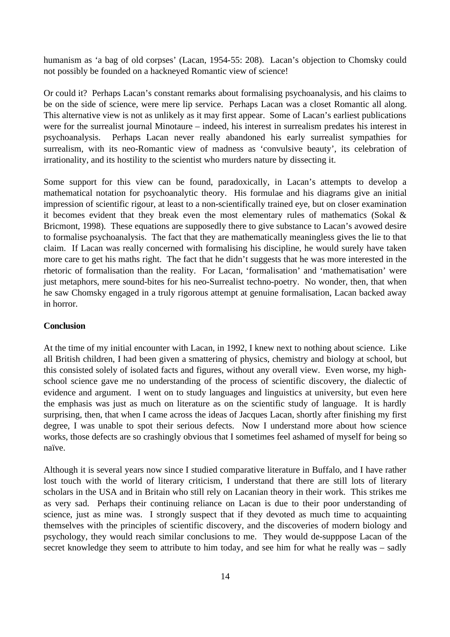humanism as 'a bag of old corpses' (Lacan, 1954-55: 208). Lacan's objection to Chomsky could not possibly be founded on a hackneyed Romantic view of science!

Or could it? Perhaps Lacan's constant remarks about formalising psychoanalysis, and his claims to be on the side of science, were mere lip service. Perhaps Lacan was a closet Romantic all along. This alternative view is not as unlikely as it may first appear. Some of Lacan's earliest publications were for the surrealist journal Minotaure – indeed, his interest in surrealism predates his interest in psychoanalysis. Perhaps Lacan never really abandoned his early surrealist sympathies for surrealism, with its neo-Romantic view of madness as 'convulsive beauty', its celebration of irrationality, and its hostility to the scientist who murders nature by dissecting it.

Some support for this view can be found, paradoxically, in Lacan's attempts to develop a mathematical notation for psychoanalytic theory. His formulae and his diagrams give an initial impression of scientific rigour, at least to a non-scientifically trained eye, but on closer examination it becomes evident that they break even the most elementary rules of mathematics (Sokal & Bricmont, 1998). These equations are supposedly there to give substance to Lacan's avowed desire to formalise psychoanalysis. The fact that they are mathematically meaningless gives the lie to that claim. If Lacan was really concerned with formalising his discipline, he would surely have taken more care to get his maths right. The fact that he didn't suggests that he was more interested in the rhetoric of formalisation than the reality. For Lacan, 'formalisation' and 'mathematisation' were just metaphors, mere sound-bites for his neo-Surrealist techno-poetry. No wonder, then, that when he saw Chomsky engaged in a truly rigorous attempt at genuine formalisation, Lacan backed away in horror.

### **Conclusion**

At the time of my initial encounter with Lacan, in 1992, I knew next to nothing about science. Like all British children, I had been given a smattering of physics, chemistry and biology at school, but this consisted solely of isolated facts and figures, without any overall view. Even worse, my highschool science gave me no understanding of the process of scientific discovery, the dialectic of evidence and argument. I went on to study languages and linguistics at university, but even here the emphasis was just as much on literature as on the scientific study of language. It is hardly surprising, then, that when I came across the ideas of Jacques Lacan, shortly after finishing my first degree, I was unable to spot their serious defects. Now I understand more about how science works, those defects are so crashingly obvious that I sometimes feel ashamed of myself for being so naïve.

Although it is several years now since I studied comparative literature in Buffalo, and I have rather lost touch with the world of literary criticism, I understand that there are still lots of literary scholars in the USA and in Britain who still rely on Lacanian theory in their work. This strikes me as very sad. Perhaps their continuing reliance on Lacan is due to their poor understanding of science, just as mine was. I strongly suspect that if they devoted as much time to acquainting themselves with the principles of scientific discovery, and the discoveries of modern biology and psychology, they would reach similar conclusions to me. They would de-supppose Lacan of the secret knowledge they seem to attribute to him today, and see him for what he really was – sadly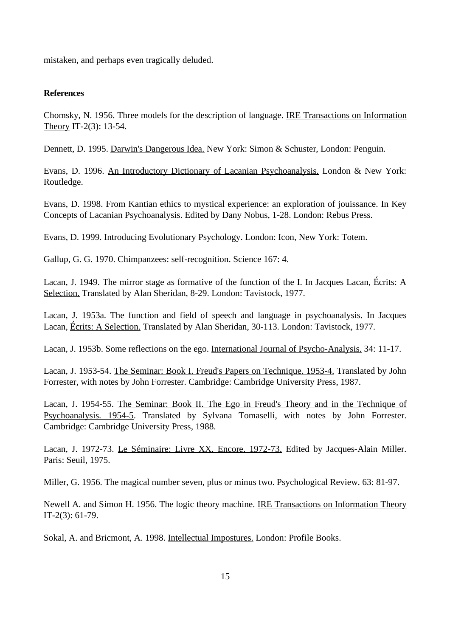mistaken, and perhaps even tragically deluded.

### **References**

Chomsky, N. 1956. Three models for the description of language. IRE Transactions on Information Theory IT-2(3): 13-54.

Dennett, D. 1995. Darwin's Dangerous Idea. New York: Simon & Schuster, London: Penguin.

Evans, D. 1996. An Introductory Dictionary of Lacanian Psychoanalysis. London & New York: Routledge.

Evans, D. 1998. From Kantian ethics to mystical experience: an exploration of jouissance. In Key Concepts of Lacanian Psychoanalysis. Edited by Dany Nobus, 1-28. London: Rebus Press.

Evans, D. 1999. Introducing Evolutionary Psychology. London: Icon, New York: Totem.

Gallup, G. G. 1970. Chimpanzees: self-recognition. Science 167: 4.

Lacan, J. 1949. The mirror stage as formative of the function of the I. In Jacques Lacan, Écrits: A Selection. Translated by Alan Sheridan, 8-29. London: Tavistock, 1977.

Lacan, J. 1953a. The function and field of speech and language in psychoanalysis. In Jacques Lacan, Écrits: A Selection. Translated by Alan Sheridan, 30-113. London: Tavistock, 1977.

Lacan, J. 1953b. Some reflections on the ego. International Journal of Psycho-Analysis. 34: 11-17.

Lacan, J. 1953-54. The Seminar: Book I. Freud's Papers on Technique. 1953-4. Translated by John Forrester, with notes by John Forrester. Cambridge: Cambridge University Press, 1987.

Lacan, J. 1954-55. The Seminar: Book II. The Ego in Freud's Theory and in the Technique of Psychoanalysis. 1954-5. Translated by Sylvana Tomaselli, with notes by John Forrester. Cambridge: Cambridge University Press, 1988.

Lacan, J. 1972-73. Le Séminaire: Livre XX. Encore. 1972-73. Edited by Jacques-Alain Miller. Paris: Seuil, 1975.

Miller, G. 1956. The magical number seven, plus or minus two. Psychological Review. 63: 81-97.

Newell A. and Simon H. 1956. The logic theory machine. IRE Transactions on Information Theory IT-2(3): 61-79.

Sokal, A. and Bricmont, A. 1998. Intellectual Impostures. London: Profile Books.